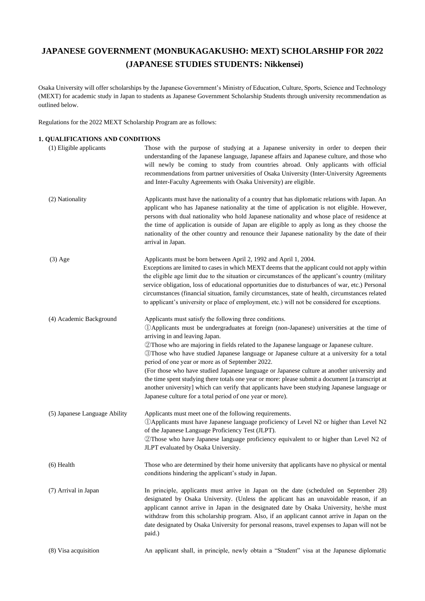# **JAPANESE GOVERNMENT (MONBUKAGAKUSHO: MEXT) SCHOLARSHIP FOR 2022 (JAPANESE STUDIES STUDENTS: Nikkensei)**

Osaka University will offer scholarships by the Japanese Government's Ministry of Education, Culture, Sports, Science and Technology (MEXT) for academic study in Japan to students as Japanese Government Scholarship Students through university recommendation as outlined below.

Regulations for the 2022 MEXT Scholarship Program are as follows:

# **1**.**QUALIFICATIONS AND CONDITIONS**

| (1) Eligible applicants       | Those with the purpose of studying at a Japanese university in order to deepen their<br>understanding of the Japanese language, Japanese affairs and Japanese culture, and those who<br>will newly be coming to study from countries abroad. Only applicants with official<br>recommendations from partner universities of Osaka University (Inter-University Agreements<br>and Inter-Faculty Agreements with Osaka University) are eligible.                                                                                                                                                                                                                                                                                                                                                       |
|-------------------------------|-----------------------------------------------------------------------------------------------------------------------------------------------------------------------------------------------------------------------------------------------------------------------------------------------------------------------------------------------------------------------------------------------------------------------------------------------------------------------------------------------------------------------------------------------------------------------------------------------------------------------------------------------------------------------------------------------------------------------------------------------------------------------------------------------------|
| (2) Nationality               | Applicants must have the nationality of a country that has diplomatic relations with Japan. An<br>applicant who has Japanese nationality at the time of application is not eligible. However,<br>persons with dual nationality who hold Japanese nationality and whose place of residence at<br>the time of application is outside of Japan are eligible to apply as long as they choose the<br>nationality of the other country and renounce their Japanese nationality by the date of their<br>arrival in Japan.                                                                                                                                                                                                                                                                                  |
| $(3)$ Age                     | Applicants must be born between April 2, 1992 and April 1, 2004.<br>Exceptions are limited to cases in which MEXT deems that the applicant could not apply within<br>the eligible age limit due to the situation or circumstances of the applicant's country (military<br>service obligation, loss of educational opportunities due to disturbances of war, etc.) Personal<br>circumstances (financial situation, family circumstances, state of health, circumstances related<br>to applicant's university or place of employment, etc.) will not be considered for exceptions.                                                                                                                                                                                                                    |
| (4) Academic Background       | Applicants must satisfy the following three conditions.<br>1 DApplicants must be undergraduates at foreign (non-Japanese) universities at the time of<br>arriving in and leaving Japan.<br>2 Those who are majoring in fields related to the Japanese language or Japanese culture.<br>Those who have studied Japanese language or Japanese culture at a university for a total<br>period of one year or more as of September 2022.<br>(For those who have studied Japanese language or Japanese culture at another university and<br>the time spent studying there totals one year or more: please submit a document [a transcript at<br>another university] which can verify that applicants have been studying Japanese language or<br>Japanese culture for a total period of one year or more). |
| (5) Japanese Language Ability | Applicants must meet one of the following requirements.<br>12 DApplicants must have Japanese language proficiency of Level N2 or higher than Level N2<br>of the Japanese Language Proficiency Test (JLPT).<br>2 Those who have Japanese language proficiency equivalent to or higher than Level N2 of<br>JLPT evaluated by Osaka University.                                                                                                                                                                                                                                                                                                                                                                                                                                                        |
| $(6)$ Health                  | Those who are determined by their home university that applicants have no physical or mental<br>conditions hindering the applicant's study in Japan.                                                                                                                                                                                                                                                                                                                                                                                                                                                                                                                                                                                                                                                |
| (7) Arrival in Japan          | In principle, applicants must arrive in Japan on the date (scheduled on September 28)<br>designated by Osaka University. (Unless the applicant has an unavoidable reason, if an<br>applicant cannot arrive in Japan in the designated date by Osaka University, he/she must<br>withdraw from this scholarship program. Also, if an applicant cannot arrive in Japan on the<br>date designated by Osaka University for personal reasons, travel expenses to Japan will not be<br>paid.)                                                                                                                                                                                                                                                                                                              |
| (8) Visa acquisition          | An applicant shall, in principle, newly obtain a "Student" visa at the Japanese diplomatic                                                                                                                                                                                                                                                                                                                                                                                                                                                                                                                                                                                                                                                                                                          |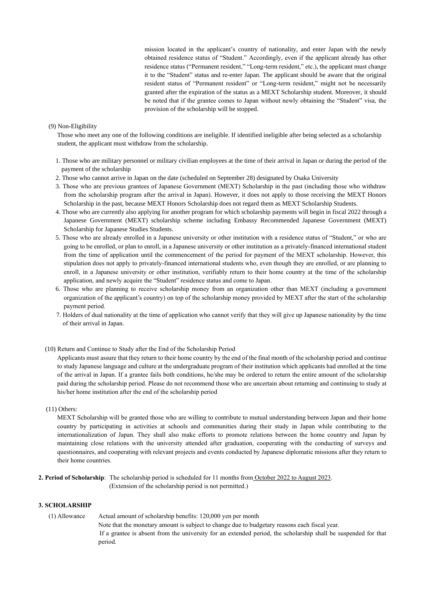mission located in the applicant's country of nationality, and enter Japan with the newly obtained residence status of "Student." Accordingly, even if the applicant already has other residence status ("Permanent resident," "Long-term resident," etc.), the applicant must change it to the "Student" status and re-enter Japan. The applicant should be aware that the original resident status of "Permanent resident" or "Long-term resident," might not be necessarily granted after the expiration of the status as a MEXT Scholarship student. Moreover, it should be noted that if the grantee comes to Japan without newly obtaining the "Student" visa, the provision of the scholarship will be stopped.

#### (9) Non-Eligibility

Those who meet any one of the following conditions are ineligible. If identified ineligible after being selected as a scholarship student, the applicant must withdraw from the scholarship.

- 1. Those who are military personnel or military civilian employees at the time of their arrival in Japan or during the period of the payment of the scholarship
- 2. Those who cannot arrive in Japan on the date (scheduled on September 28) designated by Osaka University
- 3. Those who are previous grantees of Japanese Government (MEXT) Scholarship in the past (including those who withdraw from the scholarship program after the arrival in Japan). However, it does not apply to those receiving the MEXT Honors Scholarship in the past, because MEXT Honors Scholarship does not regard them as MEXT Scholarship Students.
- 4. Those who are currently also applying for another program for which scholarship payments will begin in fiscal 2022 through a Japanese Government (MEXT) scholarship scheme including Embassy Recommended Japanese Government (MEXT) Scholarship for Japanese Studies Students.
- 5. Those who are already enrolled in a Japanese university or other institution with a residence status of "Student," or who are going to be enrolled, or plan to enroll, in a Japanese university or other institution as a privately-financed international student from the time of application until the commencement of the period for payment of the MEXT scholarship. However, this stipulation does not apply to privately-financed international students who, even though they are enrolled, or are planning to enroll, in a Japanese university or other institution, verifiably return to their home country at the time of the scholarship application, and newly acquire the "Student" residence status and come to Japan.
- 6. Those who are planning to receive scholarship money from an organization other than MEXT (including a government organization of the applicant's country) on top of the scholarship money provided by MEXT after the start of the scholarship payment period.
- 7. Holders of dual nationality at the time of application who cannot verify that they will give up Japanese nationality by the time of their arrival in Japan.
- (10) Return and Continue to Study after the End of the Scholarship Period

Applicants must assure that they return to their home country by the end of the final month of the scholarship period and continue to study Japanese language and culture at the undergraduate program of their institution which applicants had enrolled at the time of the arrival in Japan. If a grantee fails both conditions, he/she may be ordered to return the entire amount of the scholarship paid during the scholarship period. Please do not recommend those who are uncertain about returning and continuing to study at his/her home institution after the end of the scholarship period

(11) Others:

MEXT Scholarship will be granted those who are willing to contribute to mutual understanding between Japan and their home country by participating in activities at schools and communities during their study in Japan while contributing to the internationalization of Japan. They shall also make efforts to promote relations between the home country and Japan by maintaining close relations with the university attended after graduation, cooperating with the conducting of surveys and questionnaires, and cooperating with relevant projects and events conducted by Japanese diplomatic missions after they return to their home countries.

**2. Period of Scholarship**: The scholarship period is scheduled for 11 months from October 2022 to August 2023. (Extension of the scholarship period is not permitted.)

#### **3. SCHOLARSHIP**

(1) Allowance Actual amount of scholarship benefits: 120,000 yen per month Note that the monetary amount is subject to change due to budgetary reasons each fiscal year. If a grantee is absent from the university for an extended period, the scholarship shall be suspended for that period.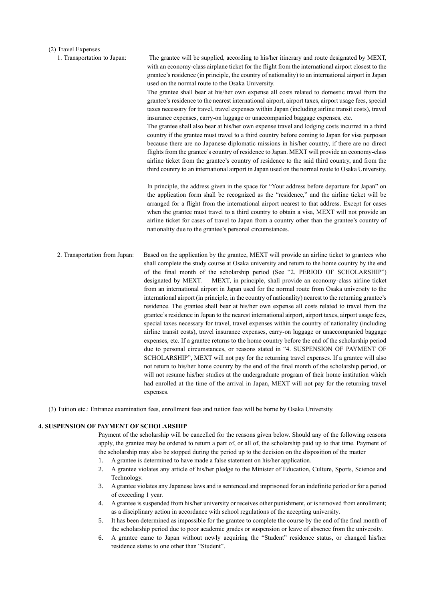## (2) Travel Expenses

| 1. Transportation to Japan:   | The grantee will be supplied, according to his/her itinerary and route designated by MEXT,<br>with an economy-class airplane ticket for the flight from the international airport closest to the<br>grantee's residence (in principle, the country of nationality) to an international airport in Japan<br>used on the normal route to the Osaka University.<br>The grantee shall bear at his/her own expense all costs related to domestic travel from the<br>grantee's residence to the nearest international airport, airport taxes, airport usage fees, special<br>taxes necessary for travel, travel expenses within Japan (including airline transit costs), travel<br>insurance expenses, carry-on luggage or unaccompanied baggage expenses, etc.<br>The grantee shall also bear at his/her own expense travel and lodging costs incurred in a third<br>country if the grantee must travel to a third country before coming to Japan for visa purposes<br>because there are no Japanese diplomatic missions in his/her country, if there are no direct<br>flights from the grantee's country of residence to Japan. MEXT will provide an economy-class<br>airline ticket from the grantee's country of residence to the said third country, and from the<br>third country to an international airport in Japan used on the normal route to Osaka University.                                                                                                                                                                                                                                    |  |  |
|-------------------------------|---------------------------------------------------------------------------------------------------------------------------------------------------------------------------------------------------------------------------------------------------------------------------------------------------------------------------------------------------------------------------------------------------------------------------------------------------------------------------------------------------------------------------------------------------------------------------------------------------------------------------------------------------------------------------------------------------------------------------------------------------------------------------------------------------------------------------------------------------------------------------------------------------------------------------------------------------------------------------------------------------------------------------------------------------------------------------------------------------------------------------------------------------------------------------------------------------------------------------------------------------------------------------------------------------------------------------------------------------------------------------------------------------------------------------------------------------------------------------------------------------------------------------------------------------------------------------------------------------------|--|--|
|                               | In principle, the address given in the space for "Your address before departure for Japan" on<br>the application form shall be recognized as the "residence," and the airline ticket will be<br>arranged for a flight from the international airport nearest to that address. Except for cases<br>when the grantee must travel to a third country to obtain a visa, MEXT will not provide an<br>airline ticket for cases of travel to Japan from a country other than the grantee's country of<br>nationality due to the grantee's personal circumstances.                                                                                                                                                                                                                                                                                                                                                                                                                                                                                                                                                                                                                                                                                                                                                                                                                                                                                                                                                                                                                                              |  |  |
| 2. Transportation from Japan: | Based on the application by the grantee, MEXT will provide an airline ticket to grantees who<br>shall complete the study course at Osaka university and return to the home country by the end<br>of the final month of the scholarship period (See "2. PERIOD OF SCHOLARSHIP")<br>designated by MEXT.<br>MEXT, in principle, shall provide an economy-class airline ticket<br>from an international airport in Japan used for the normal route from Osaka university to the<br>international airport (in principle, in the country of nationality) nearest to the returning grantee's<br>residence. The grantee shall bear at his/her own expense all costs related to travel from the<br>grantee's residence in Japan to the nearest international airport, airport taxes, airport usage fees,<br>special taxes necessary for travel, travel expenses within the country of nationality (including<br>airline transit costs), travel insurance expenses, carry-on luggage or unaccompanied baggage<br>expenses, etc. If a grantee returns to the home country before the end of the scholarship period<br>due to personal circumstances, or reasons stated in "4. SUSPENSION OF PAYMENT OF<br>SCHOLARSHIP", MEXT will not pay for the returning travel expenses. If a grantee will also<br>not return to his/her home country by the end of the final month of the scholarship period, or<br>will not resume his/her studies at the undergraduate program of their home institution which<br>had enrolled at the time of the arrival in Japan, MEXT will not pay for the returning travel<br>expenses. |  |  |

(3) Tuition etc.: Entrance examination fees, enrollment fees and tuition fees will be borne by Osaka University.

#### **4. SUSPENSION OF PAYMENT OF SCHOLARSHIP**

Payment of the scholarship will be cancelled for the reasons given below. Should any of the following reasons apply, the grantee may be ordered to return a part of, or all of, the scholarship paid up to that time. Payment of the scholarship may also be stopped during the period up to the decision on the disposition of the matter

- 1. A grantee is determined to have made a false statement on his/her application.
- 2. A grantee violates any article of his/her pledge to the Minister of Education, Culture, Sports, Science and Technology.
- 3. A grantee violates any Japanese laws and is sentenced and imprisoned for an indefinite period or for a period of exceeding 1 year.
- 4. A grantee is suspended from his/her university or receives other punishment, or is removed from enrollment; as a disciplinary action in accordance with school regulations of the accepting university.
- 5. It has been determined as impossible for the grantee to complete the course by the end of the final month of the scholarship period due to poor academic grades or suspension or leave of absence from the university.
- 6. A grantee came to Japan without newly acquiring the "Student" residence status, or changed his/her residence status to one other than "Student".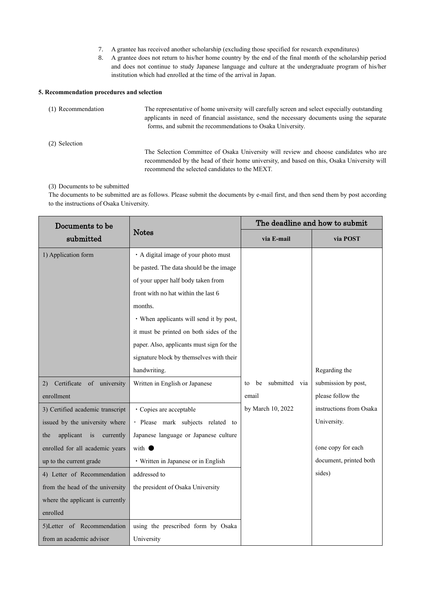- 7. A grantee has received another scholarship (excluding those specified for research expenditures)
- 8. A grantee does not return to his/her home country by the end of the final month of the scholarship period and does not continue to study Japanese language and culture at the undergraduate program of his/her institution which had enrolled at the time of the arrival in Japan.

# **5. Recommendation procedures and selection**

| (1) Recommendation | The representative of home university will carefully screen and select especially outstanding<br>applicants in need of financial assistance, send the necessary documents using the separate<br>forms, and submit the recommendations to Osaka University. |
|--------------------|------------------------------------------------------------------------------------------------------------------------------------------------------------------------------------------------------------------------------------------------------------|
| (2) Selection      |                                                                                                                                                                                                                                                            |
|                    | The Selection Committee of Osaka University will review and choose candidates who are<br>recommended by the head of their home university, and based on this, Osaka University will<br>recommend the selected candidates to the MEXT.                      |

## (3) Documents to be submitted

The documents to be submitted are as follows. Please submit the documents by e-mail first, and then send them by post according to the instructions of Osaka University.

| Documents to be                  | <b>Notes</b>                              | The deadline and how to submit |                         |  |
|----------------------------------|-------------------------------------------|--------------------------------|-------------------------|--|
| submitted                        |                                           | via E-mail                     | via POST                |  |
| 1) Application form              | · A digital image of your photo must      |                                |                         |  |
|                                  | be pasted. The data should be the image   |                                |                         |  |
|                                  | of your upper half body taken from        |                                |                         |  |
|                                  | front with no hat within the last 6       |                                |                         |  |
|                                  | months.                                   |                                |                         |  |
|                                  | • When applicants will send it by post,   |                                |                         |  |
|                                  | it must be printed on both sides of the   |                                |                         |  |
|                                  | paper. Also, applicants must sign for the |                                |                         |  |
|                                  | signature block by themselves with their  |                                |                         |  |
|                                  | handwriting.                              |                                | Regarding the           |  |
| Certificate of university<br>2)  | Written in English or Japanese            | submitted via<br>he<br>to      | submission by post,     |  |
| enrollment                       |                                           | email                          | please follow the       |  |
| 3) Certified academic transcript | · Copies are acceptable                   | by March 10, 2022              | instructions from Osaka |  |
| issued by the university where   | · Please mark subjects related to         |                                | University.             |  |
| applicant is<br>currently<br>the | Japanese language or Japanese culture     |                                |                         |  |
| enrolled for all academic years  | with $\bullet$                            |                                | (one copy for each      |  |
| up to the current grade          | • Written in Japanese or in English       |                                | document, printed both  |  |
| 4) Letter of Recommendation      | addressed to                              |                                | sides)                  |  |
| from the head of the university  | the president of Osaka University         |                                |                         |  |
| where the applicant is currently |                                           |                                |                         |  |
| enrolled                         |                                           |                                |                         |  |
| 5)Letter of Recommendation       | using the prescribed form by Osaka        |                                |                         |  |
| from an academic advisor         | University                                |                                |                         |  |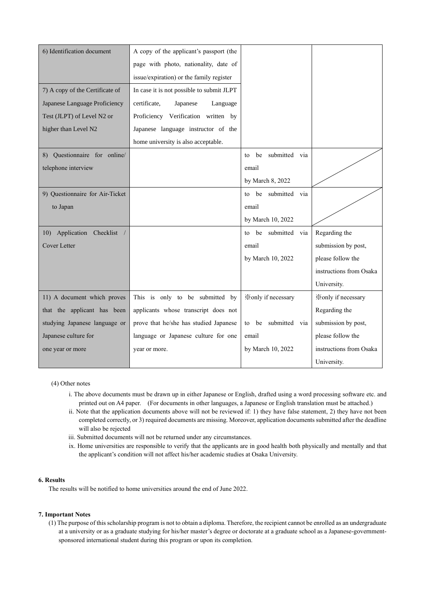| 6) Identification document      | A copy of the applicant's passport (the   |                              |                           |
|---------------------------------|-------------------------------------------|------------------------------|---------------------------|
|                                 | page with photo, nationality, date of     |                              |                           |
|                                 | issue/expiration) or the family register  |                              |                           |
| 7) A copy of the Certificate of | In case it is not possible to submit JLPT |                              |                           |
| Japanese Language Proficiency   | certificate,<br>Japanese<br>Language      |                              |                           |
| Test (JLPT) of Level N2 or      | Proficiency Verification written by       |                              |                           |
| higher than Level N2            | Japanese language instructor of the       |                              |                           |
|                                 | home university is also acceptable.       |                              |                           |
| 8) Questionnaire for online/    |                                           | to be submitted via          |                           |
| telephone interview             |                                           | email                        |                           |
|                                 |                                           | by March 8, 2022             |                           |
| 9) Questionnaire for Air-Ticket |                                           | be submitted via<br>to       |                           |
| to Japan                        |                                           | email                        |                           |
|                                 |                                           | by March 10, 2022            |                           |
| 10) Application Checklist /     |                                           | to be submitted via          | Regarding the             |
| <b>Cover Letter</b>             |                                           | email                        | submission by post,       |
|                                 |                                           | by March 10, 2022            | please follow the         |
|                                 |                                           |                              | instructions from Osaka   |
|                                 |                                           |                              | University.               |
| 11) A document which proves     | This is only to be submitted by           | Xonly if necessary           | <b>Xonly</b> if necessary |
| that the applicant has been     | applicants whose transcript does not      |                              | Regarding the             |
| studying Japanese language or   | prove that he/she has studied Japanese    | submitted<br>be<br>via<br>to | submission by post,       |
| Japanese culture for            | language or Japanese culture for one      | email                        | please follow the         |
| one year or more                | year or more.                             | by March 10, 2022            | instructions from Osaka   |
|                                 |                                           |                              | University.               |

(4) Other notes

- i. The above documents must be drawn up in either Japanese or English, drafted using a word processing software etc. and printed out on A4 paper. (For documents in other languages, a Japanese or English translation must be attached.)
- ii. Note that the application documents above will not be reviewed if: 1) they have false statement, 2) they have not been completed correctly, or 3) required documents are missing. Moreover, application documents submitted after the deadline will also be rejected
- iii. Submitted documents will not be returned under any circumstances.
- ix. Home universities are responsible to verify that the applicants are in good health both physically and mentally and that the applicant's condition will not affect his/her academic studies at Osaka University.

# **6. Results**

The results will be notified to home universities around the end of June 2022.

## **7. Important Notes**

(1) The purpose of this scholarship program is not to obtain a diploma. Therefore, the recipient cannot be enrolled as an undergraduate at a university or as a graduate studying for his/her master's degree or doctorate at a graduate school as a Japanese-governmentsponsored international student during this program or upon its completion.